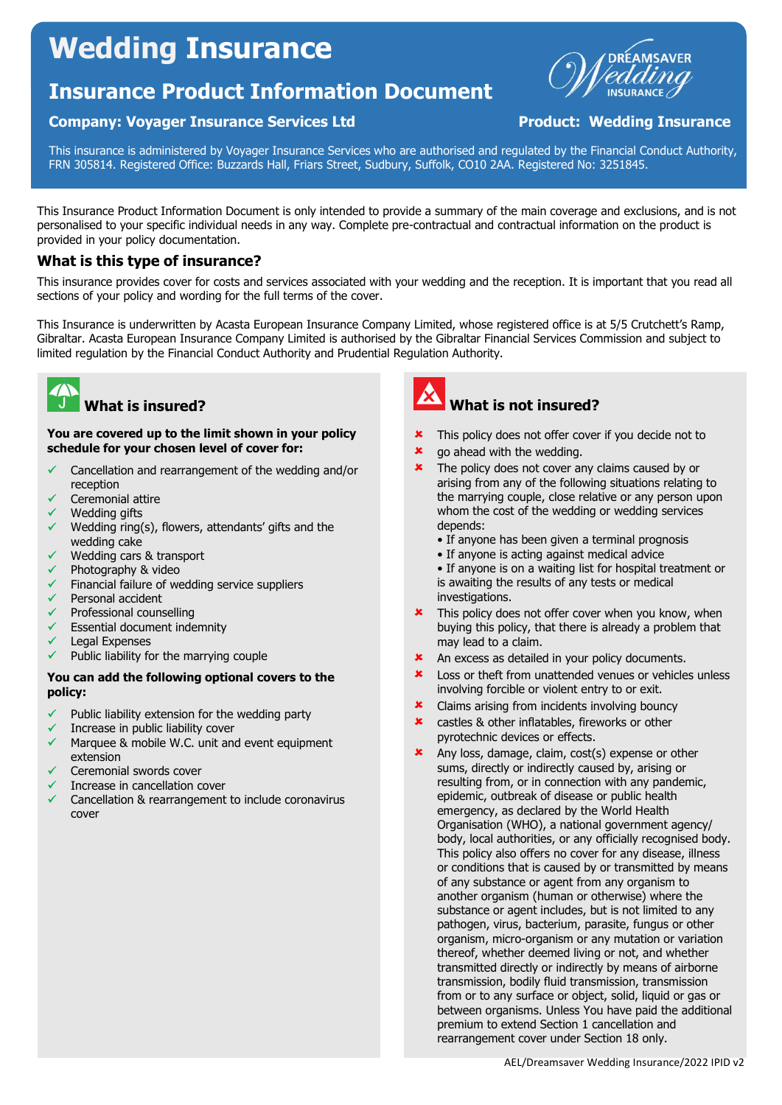# Wedding Insurance

# Insurance Product Information Document

### Company: Voyager Insurance Services Ltd **Product: Wedding Insurance**



This insurance is administered by Voyager Insurance Services who are authorised and regulated by the Financial Conduct Authority, FRN 305814. Registered Office: Buzzards Hall, Friars Street, Sudbury, Suffolk, CO10 2AA. Registered No: 3251845.

This Insurance Product Information Document is only intended to provide a summary of the main coverage and exclusions, and is not personalised to your specific individual needs in any way. Complete pre-contractual and contractual information on the product is provided in your policy documentation.

### What is this type of insurance?

This insurance provides cover for costs and services associated with your wedding and the reception. It is important that you read all sections of your policy and wording for the full terms of the cover.

This Insurance is underwritten by Acasta European Insurance Company Limited, whose registered office is at 5/5 Crutchett's Ramp, Gibraltar. Acasta European Insurance Company Limited is authorised by the Gibraltar Financial Services Commission and subject to limited regulation by the Financial Conduct Authority and Prudential Regulation Authority.



# What is insured?

You are covered up to the limit shown in your policy schedule for your chosen level of cover for:

- $\checkmark$  Cancellation and rearrangement of the wedding and/or reception
- Ceremonial attire
- Wedding gifts
- Wedding ring(s), flowers, attendants' gifts and the wedding cake
- Wedding cars & transport
- Photography & video
- Financial failure of wedding service suppliers
- Personal accident
- Professional counselling
- Essential document indemnity
- Legal Expenses
- Public liability for the marrying couple

### You can add the following optional covers to the policy:

- Public liability extension for the wedding party
- Increase in public liability cover
- Marquee & mobile W.C. unit and event equipment extension
- Ceremonial swords cover
- Increase in cancellation cover
- Cancellation & rearrangement to include coronavirus cover



# What is not insured?

- This policy does not offer cover if you decide not to
- **\*** go ahead with the wedding.
- **\*** The policy does not cover any claims caused by or arising from any of the following situations relating to the marrying couple, close relative or any person upon whom the cost of the wedding or wedding services depends:
	- If anyone has been given a terminal prognosis
	- If anyone is acting against medical advice
	- If anyone is on a waiting list for hospital treatment or is awaiting the results of any tests or medical investigations.
- This policy does not offer cover when you know, when buying this policy, that there is already a problem that may lead to a claim.
- An excess as detailed in your policy documents.
- **\*** Loss or theft from unattended venues or vehicles unless involving forcible or violent entry to or exit.
- Claims arising from incidents involving bouncy
- **\*** castles & other inflatables, fireworks or other pyrotechnic devices or effects.
- Any loss, damage, claim, cost(s) expense or other sums, directly or indirectly caused by, arising or resulting from, or in connection with any pandemic, epidemic, outbreak of disease or public health emergency, as declared by the World Health Organisation (WHO), a national government agency/ body, local authorities, or any officially recognised body. This policy also offers no cover for any disease, illness or conditions that is caused by or transmitted by means of any substance or agent from any organism to another organism (human or otherwise) where the substance or agent includes, but is not limited to any pathogen, virus, bacterium, parasite, fungus or other organism, micro-organism or any mutation or variation thereof, whether deemed living or not, and whether transmitted directly or indirectly by means of airborne transmission, bodily fluid transmission, transmission from or to any surface or object, solid, liquid or gas or between organisms. Unless You have paid the additional premium to extend Section 1 cancellation and rearrangement cover under Section 18 only.